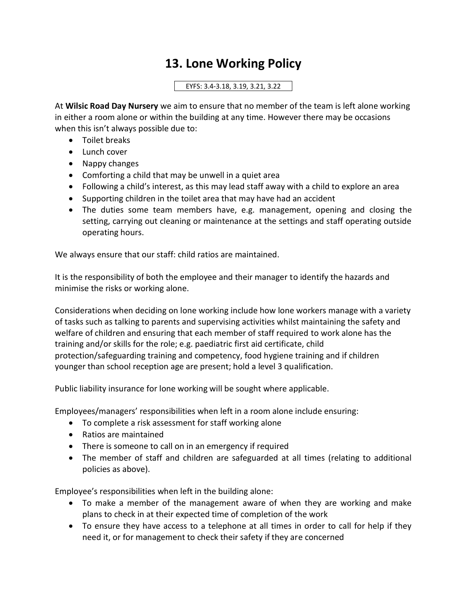## **13. Lone Working Policy**

## EYFS: 3.4-3.18, 3.19, 3.21, 3.22

At **Wilsic Road Day Nursery** we aim to ensure that no member of the team is left alone working in either a room alone or within the building at any time. However there may be occasions when this isn't always possible due to:

- Toilet breaks
- Lunch cover
- Nappy changes
- Comforting a child that may be unwell in a quiet area
- Following a child's interest, as this may lead staff away with a child to explore an area
- Supporting children in the toilet area that may have had an accident
- The duties some team members have, e.g. management, opening and closing the setting, carrying out cleaning or maintenance at the settings and staff operating outside operating hours.

We always ensure that our staff: child ratios are maintained.

It is the responsibility of both the employee and their manager to identify the hazards and minimise the risks or working alone.

Considerations when deciding on lone working include how lone workers manage with a variety of tasks such as talking to parents and supervising activities whilst maintaining the safety and welfare of children and ensuring that each member of staff required to work alone has the training and/or skills for the role; e.g. paediatric first aid certificate, child protection/safeguarding training and competency, food hygiene training and if children younger than school reception age are present; hold a level 3 qualification.

Public liability insurance for lone working will be sought where applicable.

Employees/managers' responsibilities when left in a room alone include ensuring:

- To complete a risk assessment for staff working alone
- Ratios are maintained
- There is someone to call on in an emergency if required
- The member of staff and children are safeguarded at all times (relating to additional policies as above).

Employee's responsibilities when left in the building alone:

- To make a member of the management aware of when they are working and make plans to check in at their expected time of completion of the work
- To ensure they have access to a telephone at all times in order to call for help if they need it, or for management to check their safety if they are concerned